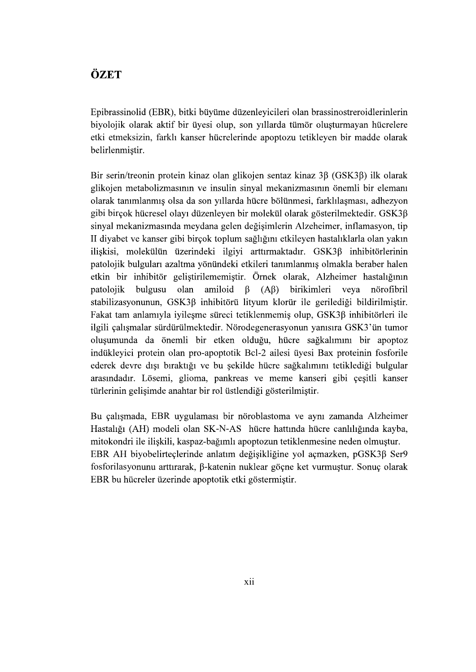## ÖZET

Epibrassinolid (EBR), bitki büyüme düzenleyicileri olan brassinostreroidlerinlerin biyolojik olarak aktif bir üyesi olup, son yıllarda tümör oluşturmayan hücrelere etki etmeksizin, farklı kanser hücrelerinde apoptozu tetikleyen bir madde olarak belirlenmistir.

Bir serin/treonin protein kinaz olan glikojen sentaz kinaz 3β (GSK3β) ilk olarak glikojen metabolizmasının ve insulin sinval mekanizmasının önemli bir elemanı olarak tanımlanmış olsa da son yıllarda hücre bölünmesi, farklılaşması, adhezyon gibi birçok hücresel olayı düzenleyen bir molekül olarak gösterilmektedir. GSK3ß sinyal mekanizmasında meydana gelen değişimlerin Alzeheimer, inflamasyon, tip II diyabet ve kanser gibi birçok toplum sağlığını etkileyen hastalıklarla olan yakın ilişkisi, molekülün üzerindeki ilgiyi arttırmaktadır. GSK3ß inhibitörlerinin patolojik bulguları azaltma yönündeki etkileri tanımlanmış olmakla beraber halen etkin bir inhibitör geliştirilememiştir. Örnek olarak, Alzheimer hastalığının amiloid birikimleri patolojik bulgusu olan  $\beta$  $(A\beta)$ veva nörofibril stabilizasyonunun, GSK3ß inhibitörü lityum klorür ile gerilediği bildirilmiştir. Fakat tam anlamıyla iyileşme süreci tetiklenmemiş olup, GSK3β inhibitörleri ile ilgili çalışmalar sürdürülmektedir. Nörodegenerasyonun yanısıra GSK3'ün tumor oluşumunda da önemli bir etken olduğu, hücre sağkalımını bir apoptoz indükleyici protein olan pro-apoptotik Bcl-2 ailesi üyesi Bax proteinin fosforile ederek devre dışı bıraktığı ve bu sekilde hücre sağkalımını tetiklediği bulgular arasındadır. Lösemi, glioma, pankreas ve meme kanseri gibi çeşitli kanser türlerinin gelişimde anahtar bir rol üstlendiği gösterilmiştir.<br>Bu calısmada, EBR uygulaması bir nöroblastoma ve aynı zamanda Alzheimer

Hastalığı (AH) modeli olan SK-N-AS hücre hattında hücre canlılığında kayba, mitokondri ile iliskili, kaspaz-bağımlı apoptozun tetiklenmesine neden olmuştur. EBR AH biyobelirteclerinde anlatım değisikliğine yol açmazken, pGSK3ß Ser9 fosforilasyonunu arttırarak,  $\beta$ -katenin nuklear göçne ket vurmuştur. Sonuç olarak EBR bu hücreler üzerinde apoptotik etki göstermistir.